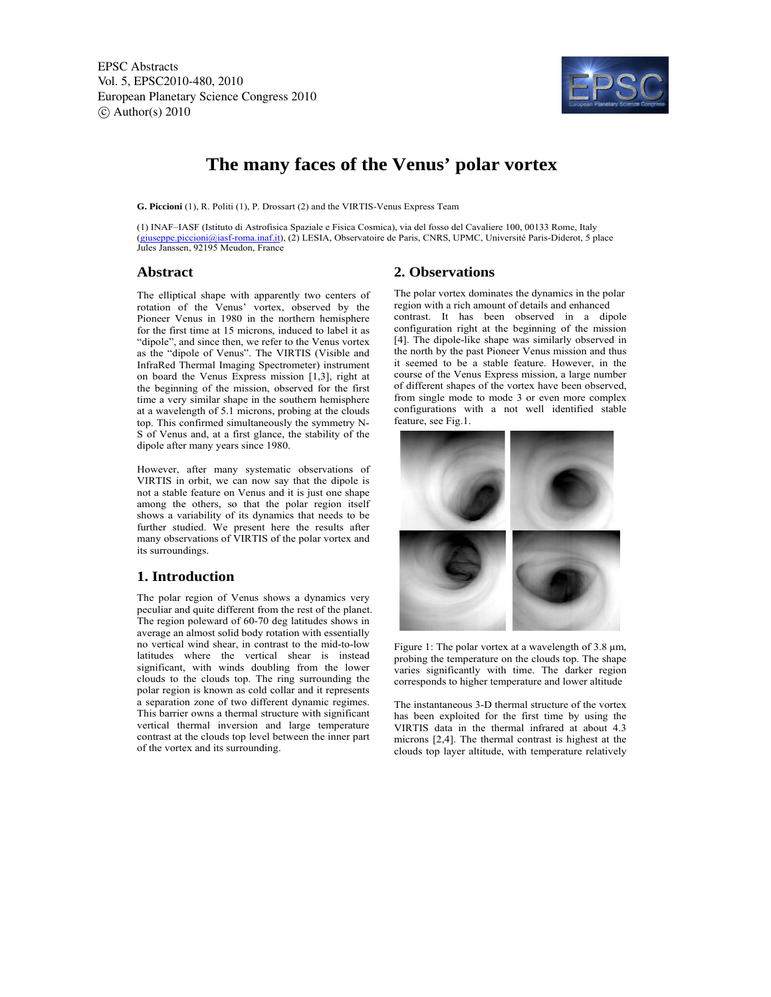

# **The many faces of the Venus' polar vortex**

**G. Piccioni** (1), R. Politi (1), P. Drossart (2) and the VIRTIS-Venus Express Team

(1) INAF–IASF (Istituto di Astrofisica Spaziale e Fisica Cosmica), via del fosso del Cavaliere 100, 00133 Rome, Italy (giuseppe.piccioni@iasf-roma.inaf.it), (2) LESIA, Observatoire de Paris, CNRS, UPMC, Université Paris-Diderot, 5 place Jules Janssen, 92195 Meudon, France

## **Abstract**

The elliptical shape with apparently two centers of rotation of the Venus' vortex, observed by the Pioneer Venus in 1980 in the northern hemisphere for the first time at 15 microns, induced to label it as "dipole", and since then, we refer to the Venus vortex as the "dipole of Venus". The VIRTIS (Visible and InfraRed Thermal Imaging Spectrometer) instrument on board the Venus Express mission [1,3], right at the beginning of the mission, observed for the first time a very similar shape in the southern hemisphere at a wavelength of 5.1 microns, probing at the clouds top. This confirmed simultaneously the symmetry N-S of Venus and, at a first glance, the stability of the dipole after many years since 1980.

However, after many systematic observations of VIRTIS in orbit, we can now say that the dipole is not a stable feature on Venus and it is just one shape among the others, so that the polar region itself shows a variability of its dynamics that needs to be further studied. We present here the results after many observations of VIRTIS of the polar vortex and its surroundings.

## **1. Introduction**

The polar region of Venus shows a dynamics very peculiar and quite different from the rest of the planet. The region poleward of 60-70 deg latitudes shows in average an almost solid body rotation with essentially no vertical wind shear, in contrast to the mid-to-low latitudes where the vertical shear is instead significant, with winds doubling from the lower clouds to the clouds top. The ring surrounding the polar region is known as cold collar and it represents a separation zone of two different dynamic regimes. This barrier owns a thermal structure with significant vertical thermal inversion and large temperature contrast at the clouds top level between the inner part of the vortex and its surrounding.

# **2. Observations**

The polar vortex dominates the dynamics in the polar region with a rich amount of details and enhanced contrast. It has been observed in a dipole configuration right at the beginning of the mission [4]. The dipole-like shape was similarly observed in the north by the past Pioneer Venus mission and thus it seemed to be a stable feature. However, in the course of the Venus Express mission, a large number of different shapes of the vortex have been observed, from single mode to mode 3 or even more complex configurations with a not well identified stable feature, see Fig.1.



Figure 1: The polar vortex at a wavelength of 3.8 μm, probing the temperature on the clouds top. The shape varies significantly with time. The darker region corresponds to higher temperature and lower altitude

The instantaneous 3-D thermal structure of the vortex has been exploited for the first time by using the VIRTIS data in the thermal infrared at about 4.3 microns [2,4]. The thermal contrast is highest at the clouds top layer altitude, with temperature relatively